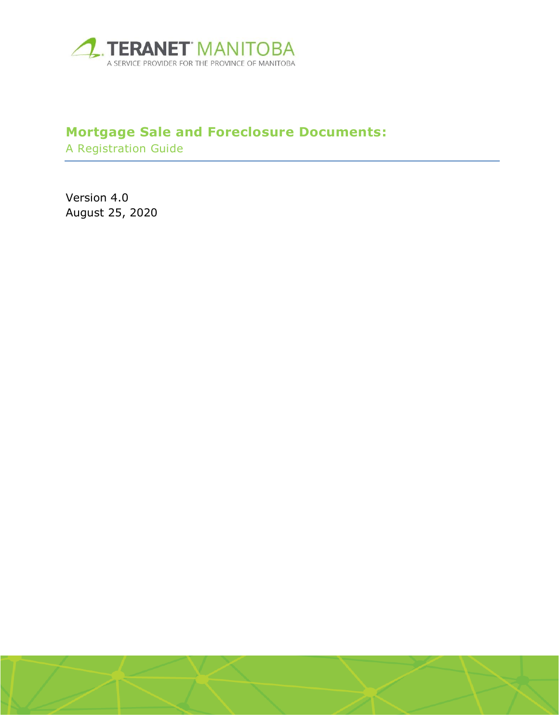

# **Mortgage Sale and Foreclosure Documents:**

A Registration Guide

Version 4.0 August 25, 2020

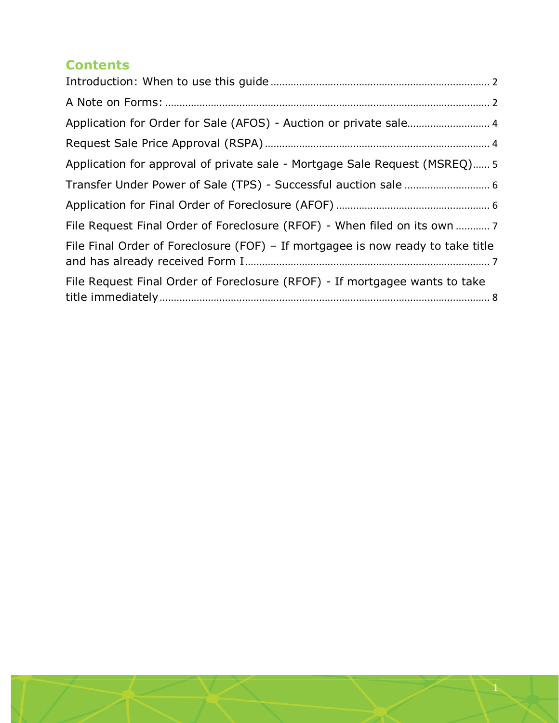#### **Contents**

| Application for approval of private sale - Mortgage Sale Request (MSREQ) 5      |
|---------------------------------------------------------------------------------|
|                                                                                 |
|                                                                                 |
| File Request Final Order of Foreclosure (RFOF) - When filed on its own  7       |
| File Final Order of Foreclosure (FOF) – If mortgagee is now ready to take title |
| File Request Final Order of Foreclosure (RFOF) - If mortgagee wants to take     |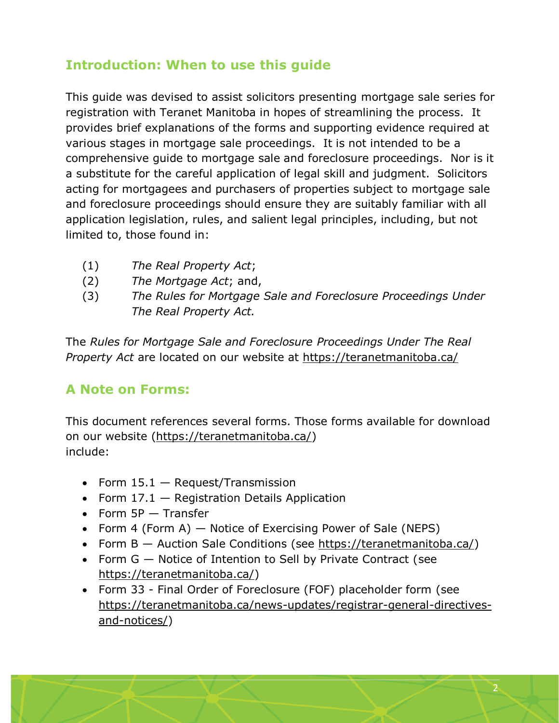## <span id="page-2-0"></span>**Introduction: When to use this guide**

This guide was devised to assist solicitors presenting mortgage sale series for registration with Teranet Manitoba in hopes of streamlining the process. It provides brief explanations of the forms and supporting evidence required at various stages in mortgage sale proceedings. It is not intended to be a comprehensive guide to mortgage sale and foreclosure proceedings. Nor is it a substitute for the careful application of legal skill and judgment. Solicitors acting for mortgagees and purchasers of properties subject to mortgage sale and foreclosure proceedings should ensure they are suitably familiar with all application legislation, rules, and salient legal principles, including, but not limited to, those found in:

- (1) *The Real Property Act*;
- (2) *The Mortgage Act*; and,
- (3) *The Rules for Mortgage Sale and Foreclosure Proceedings Under The Real Property Act.*

The *Rules for Mortgage Sale and Foreclosure Proceedings Under The Real Property Act* are located on our website at <https://teranetmanitoba.ca/>

## <span id="page-2-1"></span>**A Note on Forms:**

This document references several forms. Those forms available for download on our website [\(https://teranetmanitoba.ca/\)](https://teranetmanitoba.ca/) include:

- Form  $15.1 -$  Request/Transmission
- Form  $17.1$  Registration Details Application
- $\bullet$  Form 5P  $-$  Transfer
- Form 4 (Form A) Notice of Exercising Power of Sale (NEPS)
- Form B Auction Sale Conditions (see [https://teranetmanitoba.ca/\)](https://teranetmanitoba.ca/)
- Form  $G -$  Notice of Intention to Sell by Private Contract (see [https://teranetmanitoba.ca/\)](https://teranetmanitoba.ca/)
- Form 33 Final Order of Foreclosure (FOF) placeholder form (see [https://teranetmanitoba.ca/news-updates/registrar-general-directives](https://teranetmanitoba.ca/news-updates/registrar-general-directives-and-notices/)[and-notices/\)](https://teranetmanitoba.ca/news-updates/registrar-general-directives-and-notices/)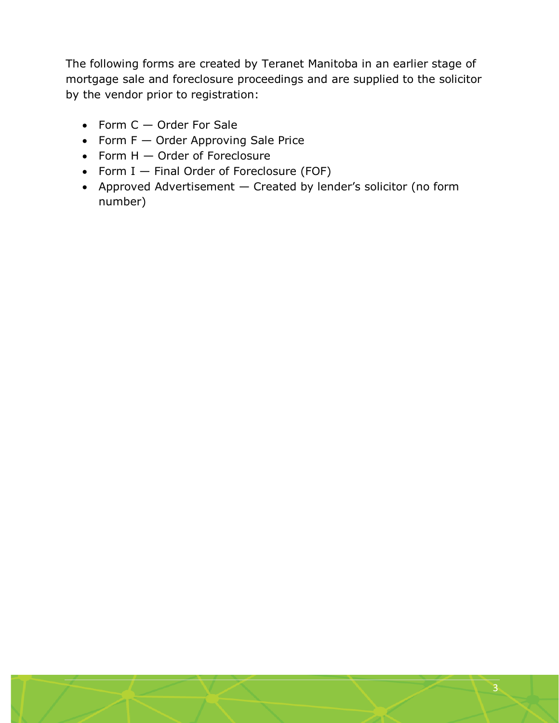The following forms are created by Teranet Manitoba in an earlier stage of mortgage sale and foreclosure proceedings and are supplied to the solicitor by the vendor prior to registration:

- Form  $C -$  Order For Sale
- Form  $F -$  Order Approving Sale Price
- $\bullet$  Form H  $-$  Order of Foreclosure
- Form  $I$   $-$  Final Order of Foreclosure (FOF)
- Approved Advertisement Created by lender's solicitor (no form number)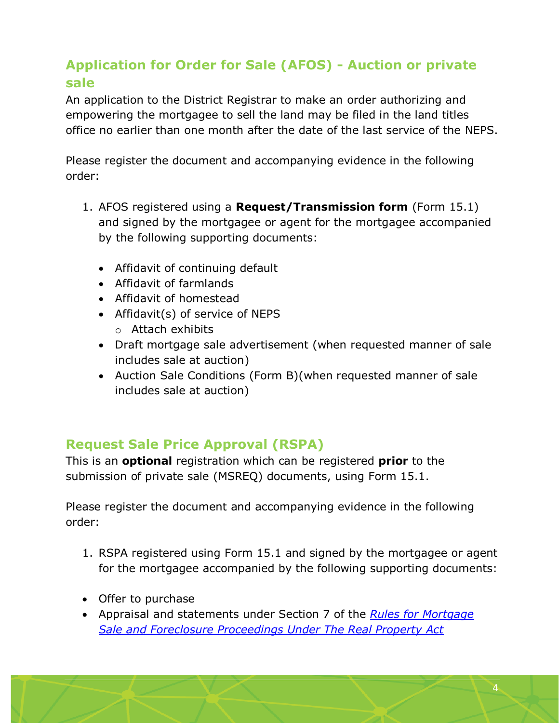# <span id="page-4-0"></span>**Application for Order for Sale (AFOS) - Auction or private sale**

An application to the District Registrar to make an order authorizing and empowering the mortgagee to sell the land may be filed in the land titles office no earlier than one month after the date of the last service of the NEPS.

Please register the document and accompanying evidence in the following order:

- 1. AFOS registered using a **Request/Transmission form** (Form 15.1) and signed by the mortgagee or agent for the mortgagee accompanied by the following supporting documents:
	- Affidavit of continuing default
	- Affidavit of farmlands
	- Affidavit of homestead
	- Affidavit(s) of service of NEPS
		- o Attach exhibits
	- Draft mortgage sale advertisement (when requested manner of sale includes sale at auction)
	- Auction Sale Conditions (Form B)(when requested manner of sale includes sale at auction)

## <span id="page-4-1"></span>**Request Sale Price Approval (RSPA)**

This is an **optional** registration which can be registered **prior** to the submission of private sale (MSREQ) documents, using Form 15.1.

Please register the document and accompanying evidence in the following order:

- 1. RSPA registered using Form 15.1 and signed by the mortgagee or agent for the mortgagee accompanied by the following supporting documents:
- Offer to purchase
- Appraisal and statements under Section 7 of the *[Rules for Mortgage](http://www.tprmb.ca/tpr/rg_directives/msfp_rules.pdf)  [Sale and Foreclosure Proceedings Under The Real Property Act](http://www.tprmb.ca/tpr/rg_directives/msfp_rules.pdf)*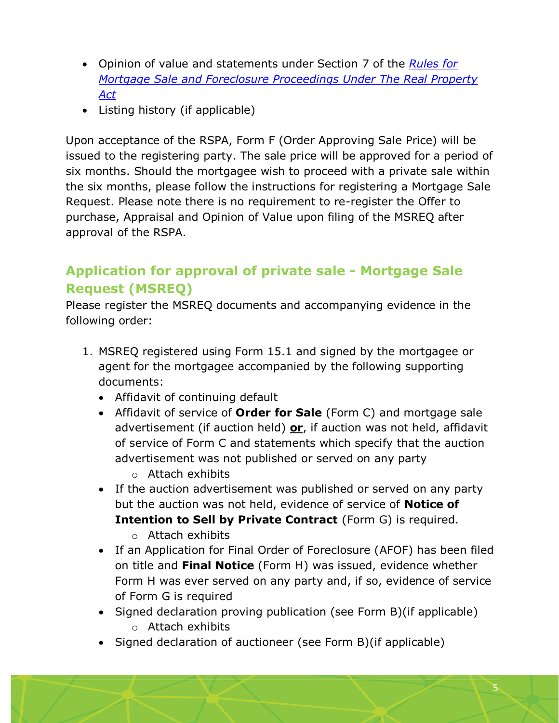- Opinion of value and statements under Section 7 of the *[Rules for](http://www.tprmb.ca/tpr/rg_directives/msfp_rules.pdf)  [Mortgage Sale and Foreclosure Proceedings Under The Real Property](http://www.tprmb.ca/tpr/rg_directives/msfp_rules.pdf)  [Act](http://www.tprmb.ca/tpr/rg_directives/msfp_rules.pdf)*
- Listing history (if applicable)

Upon acceptance of the RSPA, Form F (Order Approving Sale Price) will be issued to the registering party. The sale price will be approved for a period of six months. Should the mortgagee wish to proceed with a private sale within the six months, please follow the instructions for registering a Mortgage Sale Request. Please note there is no requirement to re-register the Offer to purchase, Appraisal and Opinion of Value upon filing of the MSREQ after approval of the RSPA.

## <span id="page-5-0"></span>**Application for approval of private sale - Mortgage Sale Request (MSREQ)**

Please register the MSREQ documents and accompanying evidence in the following order:

- 1. MSREQ registered using Form 15.1 and signed by the mortgagee or agent for the mortgagee accompanied by the following supporting documents:
	- Affidavit of continuing default
	- Affidavit of service of **Order for Sale** (Form C) and mortgage sale advertisement (if auction held) **or**, if auction was not held, affidavit of service of Form C and statements which specify that the auction advertisement was not published or served on any party
		- o Attach exhibits
	- If the auction advertisement was published or served on any party but the auction was not held, evidence of service of **Notice of Intention to Sell by Private Contract** (Form G) is required.
		- o Attach exhibits
	- If an Application for Final Order of Foreclosure (AFOF) has been filed on title and **Final Notice** (Form H) was issued, evidence whether Form H was ever served on any party and, if so, evidence of service of Form G is required
	- Signed declaration proving publication (see Form B) (if applicable)
		- o Attach exhibits
	- Signed declaration of auctioneer (see Form B)(if applicable)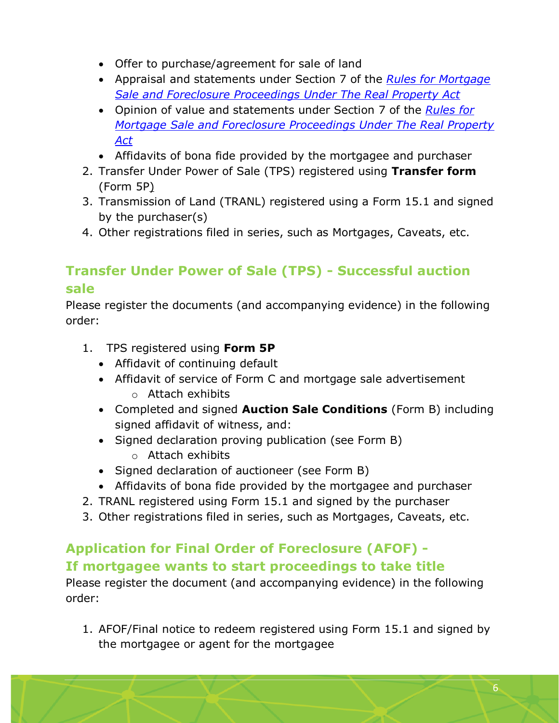- Offer to purchase/agreement for sale of land
- Appraisal and statements under Section 7 of the *[Rules for Mortgage](http://www.tprmb.ca/tpr/rg_directives/msfp_rules.pdf)  [Sale and Foreclosure Proceedings Under The Real Property Act](http://www.tprmb.ca/tpr/rg_directives/msfp_rules.pdf)*
- Opinion of value and statements under Section 7 of the *[Rules for](http://www.tprmb.ca/tpr/rg_directives/msfp_rules.pdf)  [Mortgage Sale and Foreclosure Proceedings Under The Real Property](http://www.tprmb.ca/tpr/rg_directives/msfp_rules.pdf)  [Act](http://www.tprmb.ca/tpr/rg_directives/msfp_rules.pdf)*
- Affidavits of bona fide provided by the mortgagee and purchaser
- 2. Transfer Under Power of Sale (TPS) registered using **Transfer form** (Form 5P)
- 3. Transmission of Land (TRANL) registered using a Form 15.1 and signed by the purchaser(s)
- 4. Other registrations filed in series, such as Mortgages, Caveats, etc.

# <span id="page-6-0"></span>**Transfer Under Power of Sale (TPS) - Successful auction sale**

Please register the documents (and accompanying evidence) in the following order:

- 1. TPS registered using **[Form 5P](http://www.tprmb.ca/tpr/land_titles/lto_offices/forms.html)**
	- Affidavit of continuing default
	- Affidavit of service of Form C and mortgage sale advertisement o Attach exhibits
	- Completed and signed **Auction Sale Conditions** (Form B) including signed affidavit of witness, and:
	- Signed declaration proving publication (see Form B) o Attach exhibits
	- Signed declaration of auctioneer (see Form B)
	- Affidavits of bona fide provided by the mortgagee and purchaser
- 2. TRANL registered using Form 15.1 and signed by the purchaser
- 3. Other registrations filed in series, such as Mortgages, Caveats, etc.

## <span id="page-6-1"></span>**Application for Final Order of Foreclosure (AFOF) - If mortgagee wants to start proceedings to take title**

Please register the document (and accompanying evidence) in the following order:

1. AFOF/Final notice to redeem registered using Form 15.1 and signed by the mortgagee or agent for the mortgagee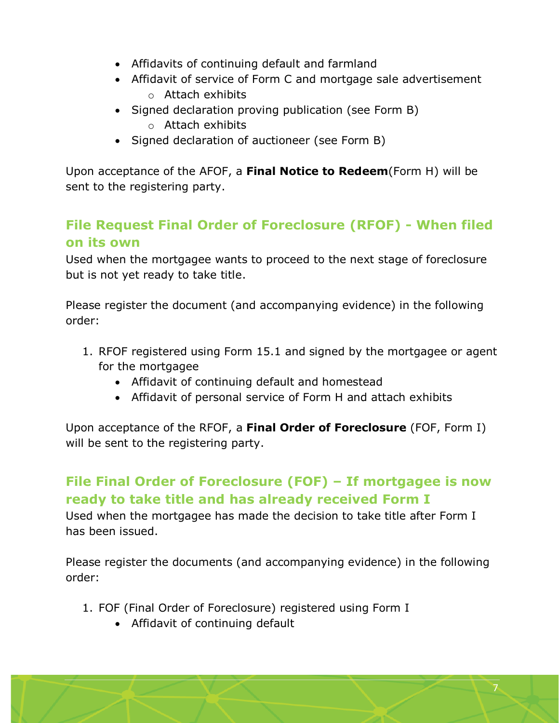- Affidavits of continuing default and farmland
- Affidavit of service of Form C and mortgage sale advertisement o Attach exhibits
- Signed declaration proving publication (see Form B)
	- o Attach exhibits
- Signed declaration of auctioneer (see Form B)

Upon acceptance of the AFOF, a **Final Notice to Redeem**(Form H) will be sent to the registering party.

## <span id="page-7-0"></span>**File Request Final Order of Foreclosure (RFOF) - When filed on its own**

Used when the mortgagee wants to proceed to the next stage of foreclosure but is not yet ready to take title.

Please register the document (and accompanying evidence) in the following order:

- 1. RFOF registered using Form 15.1 and signed by the mortgagee or agent for the mortgagee
	- Affidavit of continuing default and homestead
	- Affidavit of personal service of Form H and attach exhibits

Upon acceptance of the RFOF, a **Final Order of Foreclosure** (FOF, Form I) will be sent to the registering party.

# <span id="page-7-1"></span>**File Final Order of Foreclosure (FOF) – If mortgagee is now ready to take title and has already received Form I**

Used when the mortgagee has made the decision to take title after Form I has been issued.

Please register the documents (and accompanying evidence) in the following order:

- 1. FOF (Final Order of Foreclosure) registered using Form I
	- Affidavit of continuing default